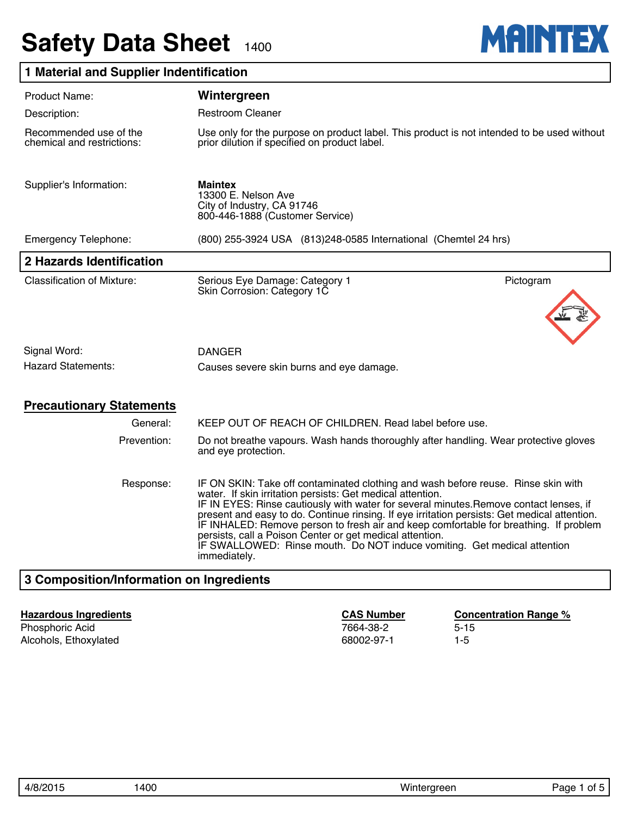# **Safety Data Sheet 1400**



## **1 Material and Supplier Indentification**

| Product Name:                                        | Wintergreen                                                                                                                                                                                                                                                                                                                                                                                                                                                                                                                                                                                |  |  |  |  |
|------------------------------------------------------|--------------------------------------------------------------------------------------------------------------------------------------------------------------------------------------------------------------------------------------------------------------------------------------------------------------------------------------------------------------------------------------------------------------------------------------------------------------------------------------------------------------------------------------------------------------------------------------------|--|--|--|--|
| Description:                                         | <b>Restroom Cleaner</b>                                                                                                                                                                                                                                                                                                                                                                                                                                                                                                                                                                    |  |  |  |  |
| Recommended use of the<br>chemical and restrictions: | Use only for the purpose on product label. This product is not intended to be used without<br>prior dilution if specified on product label.                                                                                                                                                                                                                                                                                                                                                                                                                                                |  |  |  |  |
| Supplier's Information:                              | <b>Maintex</b><br>13300 E. Nelson Ave<br>City of Industry, CA 91746<br>800-446-1888 (Customer Service)                                                                                                                                                                                                                                                                                                                                                                                                                                                                                     |  |  |  |  |
| <b>Emergency Telephone:</b>                          | (800) 255-3924 USA (813) 248-0585 International (Chemtel 24 hrs)                                                                                                                                                                                                                                                                                                                                                                                                                                                                                                                           |  |  |  |  |
| 2 Hazards Identification                             |                                                                                                                                                                                                                                                                                                                                                                                                                                                                                                                                                                                            |  |  |  |  |
| <b>Classification of Mixture:</b>                    | Pictogram<br>Serious Eye Damage: Category 1<br>Skin Corrosion: Category 1C                                                                                                                                                                                                                                                                                                                                                                                                                                                                                                                 |  |  |  |  |
|                                                      |                                                                                                                                                                                                                                                                                                                                                                                                                                                                                                                                                                                            |  |  |  |  |
| Signal Word:                                         | <b>DANGER</b>                                                                                                                                                                                                                                                                                                                                                                                                                                                                                                                                                                              |  |  |  |  |
| <b>Hazard Statements:</b>                            | Causes severe skin burns and eye damage.                                                                                                                                                                                                                                                                                                                                                                                                                                                                                                                                                   |  |  |  |  |
| <b>Precautionary Statements</b>                      |                                                                                                                                                                                                                                                                                                                                                                                                                                                                                                                                                                                            |  |  |  |  |
| General:                                             | KEEP OUT OF REACH OF CHILDREN. Read label before use.                                                                                                                                                                                                                                                                                                                                                                                                                                                                                                                                      |  |  |  |  |
| Prevention:                                          | Do not breathe vapours. Wash hands thoroughly after handling. Wear protective gloves<br>and eye protection.                                                                                                                                                                                                                                                                                                                                                                                                                                                                                |  |  |  |  |
| Response:                                            | IF ON SKIN: Take off contaminated clothing and wash before reuse. Rinse skin with<br>water. If skin irritation persists: Get medical attention.<br>IF IN EYES: Rinse cautiously with water for several minutes. Remove contact lenses, if<br>present and easy to do. Continue rinsing. If eye irritation persists: Get medical attention.<br>IF INHALED: Remove person to fresh air and keep comfortable for breathing. If problem<br>persists, call a Poison Center or get medical attention.<br>IF SWALLOWED: Rinse mouth. Do NOT induce vomiting. Get medical attention<br>immediately. |  |  |  |  |
| 2 Composition/Information on Ingradiante             |                                                                                                                                                                                                                                                                                                                                                                                                                                                                                                                                                                                            |  |  |  |  |

## **3 Composition/Information on Ingredients**

#### **Hazardous Ingredients CAS Number Concentration Range %**

Phosphoric Acid 3-15 September 2014 12:30 12:30 12:30 12:30 12:30 12:30 12:30 12:30 12:30 12:30 12:30 12:30 12:30 12:30 12:30 12:30 12:30 12:30 12:30 12:30 12:30 12:30 12:30 12:30 12:30 12:30 12:30 12:30 12:30 12:30 12:30 Alcohols, Ethoxylated 68002-97-1 1-5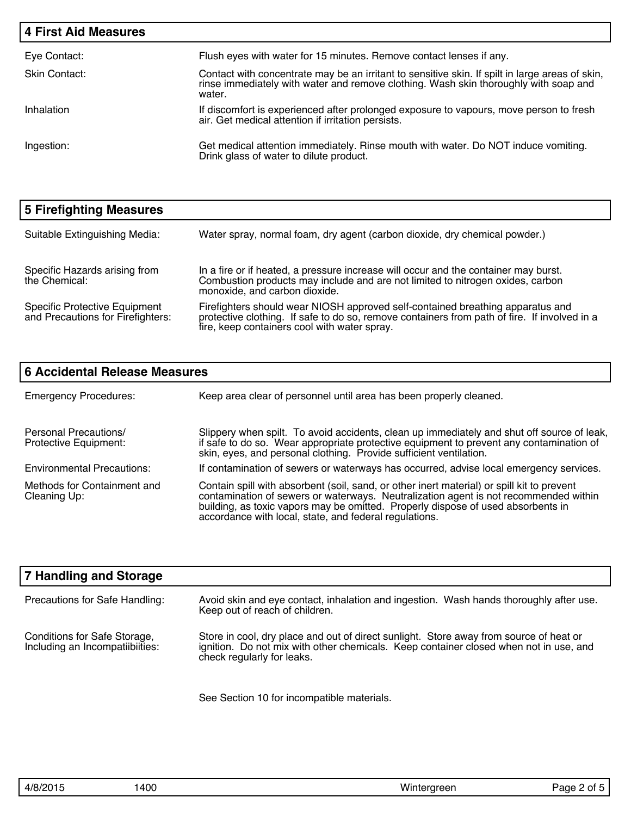| <b>4 First Aid Measures</b> |                                                                                                                                                                                                   |
|-----------------------------|---------------------------------------------------------------------------------------------------------------------------------------------------------------------------------------------------|
| Eye Contact:                | Flush eyes with water for 15 minutes. Remove contact lenses if any.                                                                                                                               |
| Skin Contact:               | Contact with concentrate may be an irritant to sensitive skin. If spilt in large areas of skin,<br>rinse immediately with water and remove clothing. Wash skin thoroughly with soap and<br>water. |
| Inhalation                  | If discomfort is experienced after prolonged exposure to vapours, move person to fresh<br>air. Get medical attention if irritation persists.                                                      |
| Ingestion:                  | Get medical attention immediately. Rinse mouth with water. Do NOT induce vomiting.<br>Drink glass of water to dilute product.                                                                     |

| 5 Firefighting Measures                                                   |                                                                                                                                                                                                                                |
|---------------------------------------------------------------------------|--------------------------------------------------------------------------------------------------------------------------------------------------------------------------------------------------------------------------------|
| Suitable Extinguishing Media:                                             | Water spray, normal foam, dry agent (carbon dioxide, dry chemical powder.)                                                                                                                                                     |
| Specific Hazards arising from<br>the Chemical:                            | In a fire or if heated, a pressure increase will occur and the container may burst.<br>Combustion products may include and are not limited to nitrogen oxides, carbon<br>monoxide, and carbon dioxide.                         |
| <b>Specific Protective Equipment</b><br>and Precautions for Firefighters: | Firefighters should wear NIOSH approved self-contained breathing apparatus and<br>protective clothing. If safe to do so, remove containers from path of fire. If involved in a<br>fire, keep containers cool with water spray. |

| <b>6 Accidental Release Measures</b>           |                                                                                                                                                                                                                                                                                                                                  |  |  |  |
|------------------------------------------------|----------------------------------------------------------------------------------------------------------------------------------------------------------------------------------------------------------------------------------------------------------------------------------------------------------------------------------|--|--|--|
| <b>Emergency Procedures:</b>                   | Keep area clear of personnel until area has been properly cleaned.                                                                                                                                                                                                                                                               |  |  |  |
| Personal Precautions/<br>Protective Equipment: | Slippery when spilt. To avoid accidents, clean up immediately and shut off source of leak,<br>if safe to do so. Wear appropriate protective equipment to prevent any contamination of<br>skin, eyes, and personal clothing. Provide sufficient ventilation.                                                                      |  |  |  |
| <b>Environmental Precautions:</b>              | If contamination of sewers or waterways has occurred, advise local emergency services.                                                                                                                                                                                                                                           |  |  |  |
| Methods for Containment and<br>Cleaning Up:    | Contain spill with absorbent (soil, sand, or other inert material) or spill kit to prevent<br>contamination of sewers or waterways. Neutralization agent is not recommended within<br>building, as toxic vapors may be omitted. Properly dispose of used absorbents in<br>accordance with local, state, and federal regulations. |  |  |  |

| <b>7 Handling and Storage</b>                                   |                                                                                                                                                                                                               |
|-----------------------------------------------------------------|---------------------------------------------------------------------------------------------------------------------------------------------------------------------------------------------------------------|
| Precautions for Safe Handling:                                  | Avoid skin and eye contact, inhalation and ingestion. Wash hands thoroughly after use.<br>Keep out of reach of children.                                                                                      |
| Conditions for Safe Storage,<br>Including an Incompatiibiities: | Store in cool, dry place and out of direct sunlight. Store away from source of heat or<br>ignition. Do not mix with other chemicals. Keep container closed when not in use, and<br>check regularly for leaks. |

See Section 10 for incompatible materials.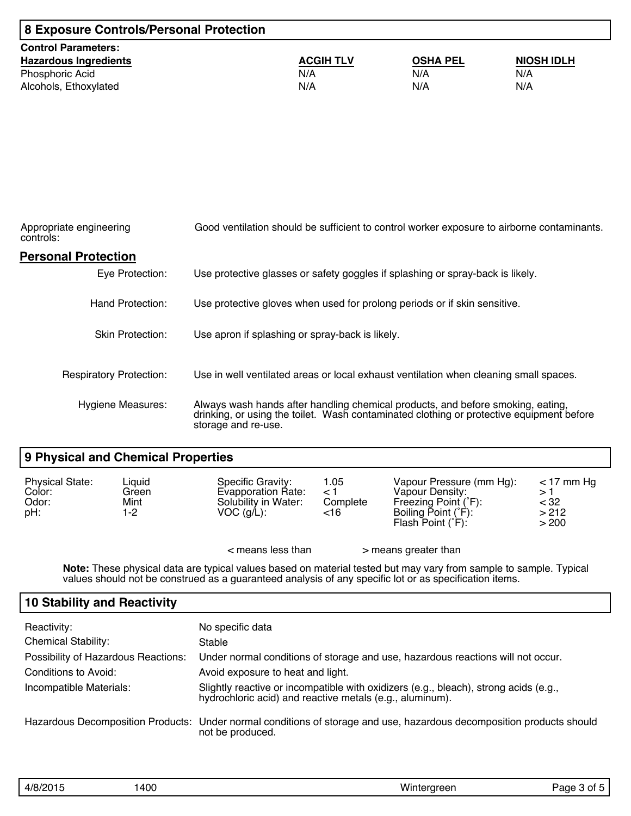| 8 Exposure Controls/Personal Protection |                  |                 |                   |  |
|-----------------------------------------|------------------|-----------------|-------------------|--|
| <b>Control Parameters:</b>              |                  |                 |                   |  |
| <b>Hazardous Ingredients</b>            | <b>ACGIH TLV</b> | <b>OSHA PEL</b> | <b>NIOSH IDLH</b> |  |
| Phosphoric Acid                         | N/A              | N/A             | N/A               |  |
| Alcohols, Ethoxylated                   | N/A              | N/A             | N/A               |  |

| Appropriate engineering<br>controls: | Good ventilation should be sufficient to control worker exposure to airborne contaminants.                                                                                                         |  |  |  |
|--------------------------------------|----------------------------------------------------------------------------------------------------------------------------------------------------------------------------------------------------|--|--|--|
| <b>Personal Protection</b>           |                                                                                                                                                                                                    |  |  |  |
| Eye Protection:                      | Use protective glasses or safety goggles if splashing or spray-back is likely.                                                                                                                     |  |  |  |
| Hand Protection:                     | Use protective gloves when used for prolong periods or if skin sensitive.                                                                                                                          |  |  |  |
| <b>Skin Protection:</b>              | Use apron if splashing or spray-back is likely.                                                                                                                                                    |  |  |  |
| <b>Respiratory Protection:</b>       | Use in well ventilated areas or local exhaust ventilation when cleaning small spaces.                                                                                                              |  |  |  |
| <b>Hygiene Measures:</b>             | Always wash hands after handling chemical products, and before smoking, eating,<br>drinking, or using the toilet. Wash contaminated clothing or protective equipment before<br>storage and re-use. |  |  |  |

#### **9 Physical and Chemical Properties**

| <b>Physical State:</b><br>Color:<br>Odor:<br>pH: | Liquid<br>Green<br>Mint<br>1-2 | Specific Gravity:<br>Evapporation Rate:<br>Solubility in Water:<br>$VOC$ (g/L): | 1.05<br>$\leq$ 1<br>Complete<br><16 | Vapour Pressure (mm Hg):<br>Vapour Density:<br>Freezing Point (°F):<br>Boiling Point (°F):<br>Flash Point $(°F)$ : | $<$ 17 mm Hg<br><32<br>>212<br>> 200 |
|--------------------------------------------------|--------------------------------|---------------------------------------------------------------------------------|-------------------------------------|--------------------------------------------------------------------------------------------------------------------|--------------------------------------|
|                                                  |                                | $<$ means less than                                                             |                                     | > means greater than                                                                                               |                                      |

**Note:** These physical data are typical values based on material tested but may vary from sample to sample. Typical values should not be construed as a guaranteed analysis of any specific lot or as specification items.

### **10 Stability and Reactivity**

| Reactivity:<br><b>Chemical Stability:</b>  | No specific data                                                                                                                                 |
|--------------------------------------------|--------------------------------------------------------------------------------------------------------------------------------------------------|
| <b>Possibility of Hazardous Reactions:</b> | Stable<br>Under normal conditions of storage and use, hazardous reactions will not occur.                                                        |
| Conditions to Avoid:                       | Avoid exposure to heat and light.                                                                                                                |
| Incompatible Materials:                    | Slightly reactive or incompatible with oxidizers (e.g., bleach), strong acids (e.g.,<br>hydrochloric acid) and reactive metals (e.g., aluminum). |
|                                            | Hazardous Decomposition Products: Under normal conditions of storage and use, hazardous decomposition products should<br>not be produced.        |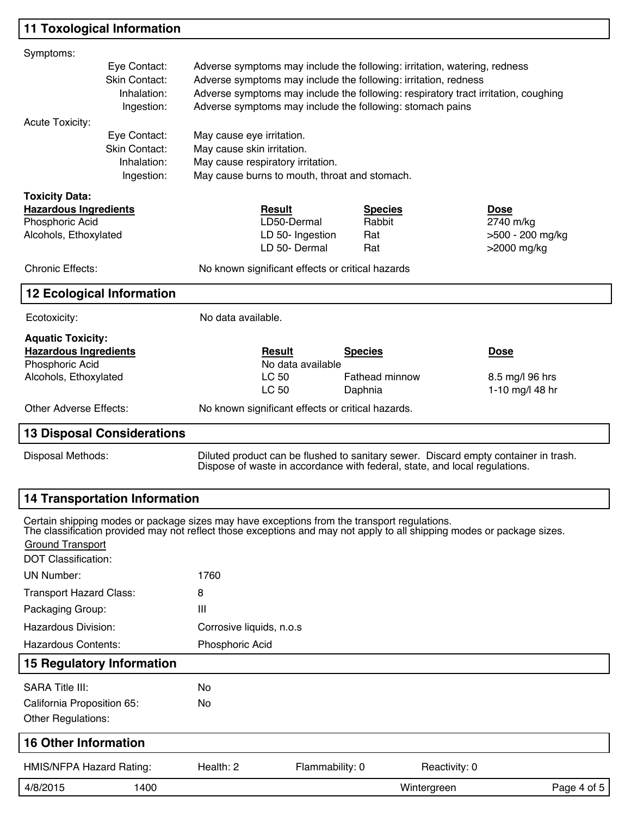## **11 Toxological Information**

| Symptoms:                                                                                                                                                                                                                                                                                                                                                     |                                                                                             |                                                                                                                                               |                                                   |                       |                                                                                                                                                                   |                               |  |
|---------------------------------------------------------------------------------------------------------------------------------------------------------------------------------------------------------------------------------------------------------------------------------------------------------------------------------------------------------------|---------------------------------------------------------------------------------------------|-----------------------------------------------------------------------------------------------------------------------------------------------|---------------------------------------------------|-----------------------|-------------------------------------------------------------------------------------------------------------------------------------------------------------------|-------------------------------|--|
| Eye Contact:<br>Adverse symptoms may include the following: irritation, watering, redness<br>Skin Contact:<br>Adverse symptoms may include the following: irritation, redness<br>Adverse symptoms may include the following: respiratory tract irritation, coughing<br>Inhalation:<br>Adverse symptoms may include the following: stomach pains<br>Ingestion: |                                                                                             |                                                                                                                                               |                                                   |                       |                                                                                                                                                                   |                               |  |
| <b>Acute Toxicity:</b>                                                                                                                                                                                                                                                                                                                                        | Eye Contact:<br>Skin Contact:<br>Inhalation:<br>Ingestion:                                  | May cause eye irritation.<br>May cause skin irritation.<br>May cause respiratory irritation.<br>May cause burns to mouth, throat and stomach. |                                                   |                       |                                                                                                                                                                   |                               |  |
| <b>Toxicity Data:</b>                                                                                                                                                                                                                                                                                                                                         |                                                                                             |                                                                                                                                               |                                                   |                       |                                                                                                                                                                   |                               |  |
| <b>Hazardous Ingredients</b>                                                                                                                                                                                                                                                                                                                                  |                                                                                             |                                                                                                                                               | <b>Result</b>                                     | <b>Species</b>        |                                                                                                                                                                   | <b>Dose</b>                   |  |
| Phosphoric Acid<br>Alcohols, Ethoxylated                                                                                                                                                                                                                                                                                                                      |                                                                                             |                                                                                                                                               | LD50-Dermal<br>LD 50- Ingestion                   | Rabbit<br>Rat         |                                                                                                                                                                   | 2740 m/kg<br>>500 - 200 mg/kg |  |
|                                                                                                                                                                                                                                                                                                                                                               |                                                                                             |                                                                                                                                               | LD 50- Dermal                                     | Rat                   |                                                                                                                                                                   | >2000 mg/kg                   |  |
| <b>Chronic Effects:</b>                                                                                                                                                                                                                                                                                                                                       |                                                                                             |                                                                                                                                               | No known significant effects or critical hazards  |                       |                                                                                                                                                                   |                               |  |
|                                                                                                                                                                                                                                                                                                                                                               | <b>12 Ecological Information</b>                                                            |                                                                                                                                               |                                                   |                       |                                                                                                                                                                   |                               |  |
| Ecotoxicity:                                                                                                                                                                                                                                                                                                                                                  |                                                                                             | No data available.                                                                                                                            |                                                   |                       |                                                                                                                                                                   |                               |  |
| <b>Aquatic Toxicity:</b>                                                                                                                                                                                                                                                                                                                                      |                                                                                             |                                                                                                                                               |                                                   |                       |                                                                                                                                                                   |                               |  |
| <b>Hazardous Ingredients</b><br>Phosphoric Acid                                                                                                                                                                                                                                                                                                               |                                                                                             |                                                                                                                                               | <b>Result</b><br>No data available                | <b>Species</b>        |                                                                                                                                                                   | <b>Dose</b>                   |  |
| Alcohols, Ethoxylated                                                                                                                                                                                                                                                                                                                                         |                                                                                             |                                                                                                                                               | LC 50                                             | <b>Fathead minnow</b> |                                                                                                                                                                   | 8.5 mg/l 96 hrs               |  |
|                                                                                                                                                                                                                                                                                                                                                               |                                                                                             |                                                                                                                                               | LC 50                                             | Daphnia               |                                                                                                                                                                   | 1-10 mg/l 48 hr               |  |
| <b>Other Adverse Effects:</b>                                                                                                                                                                                                                                                                                                                                 |                                                                                             |                                                                                                                                               | No known significant effects or critical hazards. |                       |                                                                                                                                                                   |                               |  |
|                                                                                                                                                                                                                                                                                                                                                               | <b>13 Disposal Considerations</b>                                                           |                                                                                                                                               |                                                   |                       |                                                                                                                                                                   |                               |  |
| Disposal Methods:                                                                                                                                                                                                                                                                                                                                             |                                                                                             |                                                                                                                                               |                                                   |                       | Diluted product can be flushed to sanitary sewer. Discard empty container in trash.<br>Dispose of waste in accordance with federal, state, and local regulations. |                               |  |
|                                                                                                                                                                                                                                                                                                                                                               | <b>14 Transportation Information</b>                                                        |                                                                                                                                               |                                                   |                       |                                                                                                                                                                   |                               |  |
|                                                                                                                                                                                                                                                                                                                                                               | Certain shipping modes or package sizes may have exceptions from the transport regulations. |                                                                                                                                               |                                                   |                       | The classification provided may not reflect those exceptions and may not apply to all shipping modes or package sizes.                                            |                               |  |
| Ground Transport<br><b>DOT Classification:</b>                                                                                                                                                                                                                                                                                                                |                                                                                             |                                                                                                                                               |                                                   |                       |                                                                                                                                                                   |                               |  |
| <b>UN Number:</b>                                                                                                                                                                                                                                                                                                                                             |                                                                                             | 1760                                                                                                                                          |                                                   |                       |                                                                                                                                                                   |                               |  |
| <b>Transport Hazard Class:</b>                                                                                                                                                                                                                                                                                                                                |                                                                                             | 8                                                                                                                                             |                                                   |                       |                                                                                                                                                                   |                               |  |
| Packaging Group:                                                                                                                                                                                                                                                                                                                                              |                                                                                             | Ш                                                                                                                                             |                                                   |                       |                                                                                                                                                                   |                               |  |
| Hazardous Division:                                                                                                                                                                                                                                                                                                                                           |                                                                                             | Corrosive liquids, n.o.s                                                                                                                      |                                                   |                       |                                                                                                                                                                   |                               |  |
| <b>Hazardous Contents:</b>                                                                                                                                                                                                                                                                                                                                    |                                                                                             | Phosphoric Acid                                                                                                                               |                                                   |                       |                                                                                                                                                                   |                               |  |
|                                                                                                                                                                                                                                                                                                                                                               | <b>15 Regulatory Information</b>                                                            |                                                                                                                                               |                                                   |                       |                                                                                                                                                                   |                               |  |
| <b>SARA Title III:</b>                                                                                                                                                                                                                                                                                                                                        |                                                                                             | No.                                                                                                                                           |                                                   |                       |                                                                                                                                                                   |                               |  |
| California Proposition 65:                                                                                                                                                                                                                                                                                                                                    |                                                                                             | No.                                                                                                                                           |                                                   |                       |                                                                                                                                                                   |                               |  |
| Other Regulations:                                                                                                                                                                                                                                                                                                                                            |                                                                                             |                                                                                                                                               |                                                   |                       |                                                                                                                                                                   |                               |  |
| <b>16 Other Information</b>                                                                                                                                                                                                                                                                                                                                   |                                                                                             |                                                                                                                                               |                                                   |                       |                                                                                                                                                                   |                               |  |
| HMIS/NFPA Hazard Rating:                                                                                                                                                                                                                                                                                                                                      |                                                                                             | Health: 2                                                                                                                                     | Flammability: 0                                   |                       | Reactivity: 0                                                                                                                                                     |                               |  |
| 4/8/2015                                                                                                                                                                                                                                                                                                                                                      | 1400                                                                                        |                                                                                                                                               |                                                   |                       | Wintergreen                                                                                                                                                       | Page 4 of 5                   |  |
|                                                                                                                                                                                                                                                                                                                                                               |                                                                                             |                                                                                                                                               |                                                   |                       |                                                                                                                                                                   |                               |  |